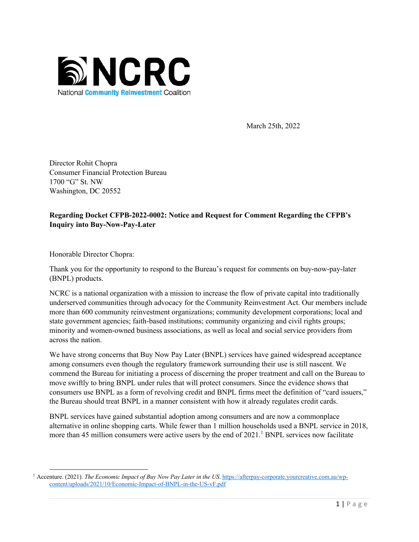

March 25th, 2022

Director Rohit Chopra Consumer Financial Protection Bureau 1700 "G" St. NW Washington, DC 20552

# **Regarding Docket CFPB-2022-0002: Notice and Request for Comment Regarding the CFPB's Inquiry into Buy-Now-Pay-Later**

Honorable Director Chopra:

Thank you for the opportunity to respond to the Bureau's request for comments on buy-now-pay-later (BNPL) products.

NCRC is a national organization with a mission to increase the flow of private capital into traditionally underserved communities through advocacy for the Community Reinvestment Act. Our members include more than 600 community reinvestment organizations; community development corporations; local and state government agencies; faith-based institutions; community organizing and civil rights groups; minority and women-owned business associations, as well as local and social service providers from across the nation.

We have strong concerns that Buy Now Pay Later (BNPL) services have gained widespread acceptance among consumers even though the regulatory framework surrounding their use is still nascent. We commend the Bureau for initiating a process of discerning the proper treatment and call on the Bureau to move swiftly to bring BNPL under rules that will protect consumers. Since the evidence shows that consumers use BNPL as a form of revolving credit and BNPL firms meet the definition of "card issuers," the Bureau should treat BNPL in a manner consistent with how it already regulates credit cards.

BNPL services have gained substantial adoption among consumers and are now a commonplace alternative in online shopping carts. While fewer than 1 million households used a BNPL service in 2018, more than 45 million consumers were active users by the end of 2021.<sup>1</sup> BNPL services now facilitate

<sup>1</sup> Accenture. (2021). *The Economic Impact of Buy Now Pay Later in the US*. https://afterpay-corporate.yourcreative.com.au/wpcontent/uploads/2021/10/Economic-Impact-of-BNPL-in-the-US-vF.pdf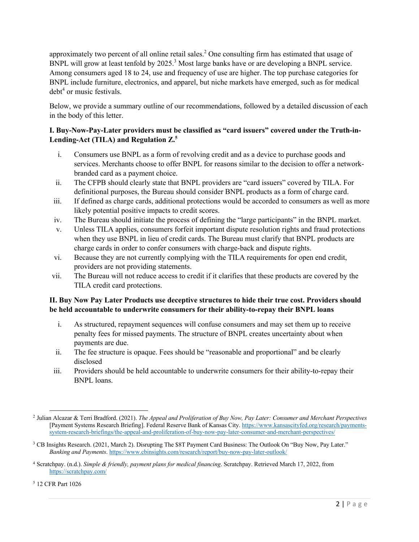approximately two percent of all online retail sales.2 One consulting firm has estimated that usage of BNPL will grow at least tenfold by 2025.<sup>3</sup> Most large banks have or are developing a BNPL service. Among consumers aged 18 to 24, use and frequency of use are higher. The top purchase categories for BNPL include furniture, electronics, and apparel, but niche markets have emerged, such as for medical  $debt<sup>4</sup>$  or music festivals.

Below, we provide a summary outline of our recommendations, followed by a detailed discussion of each in the body of this letter.

### **I. Buy-Now-Pay-Later providers must be classified as "card issuers" covered under the Truth-in-Lending-Act (TILA) and Regulation Z.5**

- i. Consumers use BNPL as a form of revolving credit and as a device to purchase goods and services. Merchants choose to offer BNPL for reasons similar to the decision to offer a networkbranded card as a payment choice.
- ii. The CFPB should clearly state that BNPL providers are "card issuers" covered by TILA. For definitional purposes, the Bureau should consider BNPL products as a form of charge card.
- iii. If defined as charge cards, additional protections would be accorded to consumers as well as more likely potential positive impacts to credit scores.
- iv. The Bureau should initiate the process of defining the "large participants" in the BNPL market.
- v. Unless TILA applies, consumers forfeit important dispute resolution rights and fraud protections when they use BNPL in lieu of credit cards. The Bureau must clarify that BNPL products are charge cards in order to confer consumers with charge-back and dispute rights.
- vi. Because they are not currently complying with the TILA requirements for open end credit, providers are not providing statements.
- vii. The Bureau will not reduce access to credit if it clarifies that these products are covered by the TILA credit card protections.

# **II. Buy Now Pay Later Products use deceptive structures to hide their true cost. Providers should be held accountable to underwrite consumers for their ability-to-repay their BNPL loans**

- i. As structured, repayment sequences will confuse consumers and may set them up to receive penalty fees for missed payments. The structure of BNPL creates uncertainty about when payments are due.
- ii. The fee structure is opaque. Fees should be "reasonable and proportional" and be clearly disclosed
- iii. Providers should be held accountable to underwrite consumers for their ability-to-repay their BNPL loans.

<sup>5</sup> 12 CFR Part 1026

<sup>2</sup> Julian Alcazar & Terri Bradford. (2021). *The Appeal and Proliferation of Buy Now, Pay Later: Consumer and Merchant Perspectives* [Payment Systems Research Briefing]. Federal Reserve Bank of Kansas City. https://www.kansascityfed.org/research/paymentssystem-research-briefings/the-appeal-and-proliferation-of-buy-now-pay-later-consumer-and-merchant-perspectives/

<sup>&</sup>lt;sup>3</sup> CB Insights Research. (2021, March 2). Disrupting The \$8T Payment Card Business: The Outlook On "Buy Now, Pay Later." *Banking and Payments*. https://www.cbinsights.com/research/report/buy-now-pay-later-outlook/

<sup>4</sup> Scratchpay. (n.d.). *Simple & friendly, payment plans for medical financing*. Scratchpay. Retrieved March 17, 2022, from https://scratchpay.com/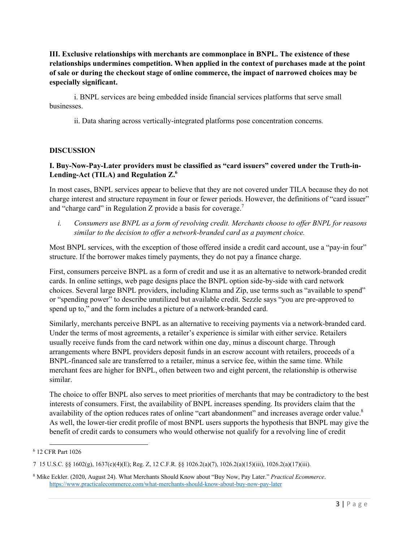**III. Exclusive relationships with merchants are commonplace in BNPL. The existence of these relationships undermines competition. When applied in the context of purchases made at the point of sale or during the checkout stage of online commerce, the impact of narrowed choices may be especially significant.**

i. BNPL services are being embedded inside financial services platforms that serve small businesses.

ii. Data sharing across vertically-integrated platforms pose concentration concerns*.*

#### **DISCUSSION**

#### **I. Buy-Now-Pay-Later providers must be classified as "card issuers" covered under the Truth-in-Lending-Act (TILA) and Regulation Z.6**

In most cases, BNPL services appear to believe that they are not covered under TILA because they do not charge interest and structure repayment in four or fewer periods. However, the definitions of "card issuer" and "charge card" in Regulation Z provide a basis for coverage.<sup>7</sup>

*i. Consumers use BNPL as a form of revolving credit. Merchants choose to offer BNPL for reasons similar to the decision to offer a network-branded card as a payment choice.* 

Most BNPL services, with the exception of those offered inside a credit card account, use a "pay-in four" structure. If the borrower makes timely payments, they do not pay a finance charge.

First, consumers perceive BNPL as a form of credit and use it as an alternative to network-branded credit cards. In online settings, web page designs place the BNPL option side-by-side with card network choices. Several large BNPL providers, including Klarna and Zip, use terms such as "available to spend" or "spending power" to describe unutilized but available credit. Sezzle says "you are pre-approved to spend up to," and the form includes a picture of a network-branded card.

Similarly, merchants perceive BNPL as an alternative to receiving payments via a network-branded card. Under the terms of most agreements, a retailer's experience is similar with either service. Retailers usually receive funds from the card network within one day, minus a discount charge. Through arrangements where BNPL providers deposit funds in an escrow account with retailers, proceeds of a BNPL-financed sale are transferred to a retailer, minus a service fee, within the same time. While merchant fees are higher for BNPL, often between two and eight percent, the relationship is otherwise similar.

The choice to offer BNPL also serves to meet priorities of merchants that may be contradictory to the best interests of consumers. First, the availability of BNPL increases spending. Its providers claim that the availability of the option reduces rates of online "cart abandonment" and increases average order value.<sup>8</sup> As well, the lower-tier credit profile of most BNPL users supports the hypothesis that BNPL may give the benefit of credit cards to consumers who would otherwise not qualify for a revolving line of credit

<sup>6</sup> 12 CFR Part 1026

<sup>7</sup> 15 U.S.C. §§ 1602(g), 1637(c)(4)(E); Reg. Z, 12 C.F.R. §§ 1026.2(a)(7), 1026.2(a)(15)(iii), 1026.2(a)(17)(iii).

<sup>8</sup> Mike Eckler. (2020, August 24). What Merchants Should Know about "Buy Now, Pay Later." *Practical Ecommerce*. https://www.practicalecommerce.com/what-merchants-should-know-about-buy-now-pay-later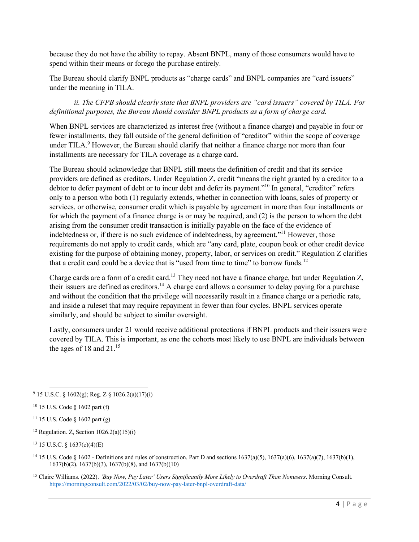because they do not have the ability to repay. Absent BNPL, many of those consumers would have to spend within their means or forego the purchase entirely.

The Bureau should clarify BNPL products as "charge cards" and BNPL companies are "card issuers" under the meaning in TILA.

*ii. The CFPB should clearly state that BNPL providers are "card issuers" covered by TILA. For definitional purposes, the Bureau should consider BNPL products as a form of charge card.*

When BNPL services are characterized as interest free (without a finance charge) and payable in four or fewer installments, they fall outside of the general definition of "creditor" within the scope of coverage under TILA.<sup>9</sup> However, the Bureau should clarify that neither a finance charge nor more than four installments are necessary for TILA coverage as a charge card.

The Bureau should acknowledge that BNPL still meets the definition of credit and that its service providers are defined as creditors. Under Regulation Z, credit "means the right granted by a creditor to a debtor to defer payment of debt or to incur debt and defer its payment."<sup>10</sup> In general, "creditor" refers only to a person who both (1) regularly extends, whether in connection with loans, sales of property or services, or otherwise, consumer credit which is payable by agreement in more than four installments or for which the payment of a finance charge is or may be required, and (2) is the person to whom the debt arising from the consumer credit transaction is initially payable on the face of the evidence of indebtedness or, if there is no such evidence of indebtedness, by agreement."11 However, those requirements do not apply to credit cards, which are "any card, plate, coupon book or other credit device existing for the purpose of obtaining money, property, labor, or services on credit." Regulation Z clarifies that a credit card could be a device that is "used from time to time" to borrow funds.<sup>12</sup>

Charge cards are a form of a credit card.<sup>13</sup> They need not have a finance charge, but under Regulation Z, their issuers are defined as creditors.<sup>14</sup> A charge card allows a consumer to delay paying for a purchase and without the condition that the privilege will necessarily result in a finance charge or a periodic rate, and inside a ruleset that may require repayment in fewer than four cycles. BNPL services operate similarly, and should be subject to similar oversight.

Lastly, consumers under 21 would receive additional protections if BNPL products and their issuers were covered by TILA. This is important, as one the cohorts most likely to use BNPL are individuals between the ages of 18 and  $21<sup>15</sup>$ 

- <sup>12</sup> Regulation. Z, Section  $1026.2(a)(15)(i)$
- $13$  15 U.S.C. § 1637(c)(4)(E)
- <sup>14</sup> 15 U.S. Code § 1602 Definitions and rules of construction. Part D and sections  $1637(a)(5)$ ,  $1637(a)(6)$ ,  $1637(a)(7)$ ,  $1637(b)(1)$ , 1637(b)(2), 1637(b)(3), 1637(b)(8), and 1637(b)(10)
- <sup>15</sup> Claire Williams. (2022). *'Buy Now, Pay Later' Users Significantly More Likely to Overdraft Than Nonusers*. Morning Consult. https://morningconsult.com/2022/03/02/buy-now-pay-later-bnpl-overdraft-data/

<sup>9</sup> 15 U.S.C. § 1602(g); Reg. Z § 1026.2(a)(17)(i)

<sup>10</sup> 15 U.S. Code § 1602 part (f)

<sup>&</sup>lt;sup>11</sup> 15 U.S. Code  $\frac{1602 \text{ part (g)}}{g}$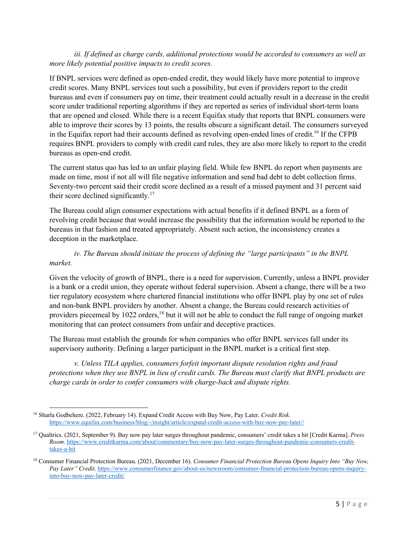#### *iii. If defined as charge cards, additional protections would be accorded to consumers as well as more likely potential positive impacts to credit scores.*

If BNPL services were defined as open-ended credit, they would likely have more potential to improve credit scores. Many BNPL services tout such a possibility, but even if providers report to the credit bureaus and even if consumers pay on time, their treatment could actually result in a decrease in the credit score under traditional reporting algorithms if they are reported as series of individual short-term loans that are opened and closed. While there is a recent Equifax study that reports that BNPL consumers were able to improve their scores by 13 points, the results obscure a significant detail. The consumers surveyed in the Equifax report had their accounts defined as revolving open-ended lines of credit.<sup>16</sup> If the CFPB requires BNPL providers to comply with credit card rules, they are also more likely to report to the credit bureaus as open-end credit.

The current status quo has led to an unfair playing field. While few BNPL do report when payments are made on time, most if not all will file negative information and send bad debt to debt collection firms. Seventy-two percent said their credit score declined as a result of a missed payment and 31 percent said their score declined significantly.<sup>17</sup>

The Bureau could align consumer expectations with actual benefits if it defined BNPL as a form of revolving credit because that would increase the possibility that the information would be reported to the bureaus in that fashion and treated appropriately. Absent such action, the inconsistency creates a deception in the marketplace.

### *iv. The Bureau should initiate the process of defining the "large participants" in the BNPL market.*

Given the velocity of growth of BNPL, there is a need for supervision. Currently, unless a BNPL provider is a bank or a credit union, they operate without federal supervision. Absent a change, there will be a two tier regulatory ecosystem where chartered financial institutions who offer BNPL play by one set of rules and non-bank BNPL providers by another. Absent a change, the Bureau could research activities of providers piecemeal by 1022 orders,<sup>18</sup> but it will not be able to conduct the full range of ongoing market monitoring that can protect consumers from unfair and deceptive practices.

The Bureau must establish the grounds for when companies who offer BNPL services fall under its supervisory authority. Defining a larger participant in the BNPL market is a critical first step.

*v. Unless TILA applies, consumers forfeit important dispute resolution rights and fraud protections when they use BNPL in lieu of credit cards. The Bureau must clarify that BNPL products are charge cards in order to confer consumers with charge-back and dispute rights.*

<sup>16</sup> Sharla Godbehere. (2022, February 14). Expand Credit Access with Buy Now, Pay Later. *Credit Risk*. https://www.equifax.com/business/blog/-/insight/article/expand-credit-access-with-buy-now-pay-later//

<sup>17</sup> Qualtrics. (2021, September 9). Buy now pay later surges throughout pandemic, consumers' credit takes a hit [Credit Karma]. *Press Room*. https://www.creditkarma.com/about/commentary/buy-now-pay-later-surges-throughout-pandemic-consumers-credittakes-a-hit

<sup>18</sup> Consumer Financial Protection Bureau. (2021, December 16). *Consumer Financial Protection Bureau Opens Inquiry Into "Buy Now, Pay Later" Credit*. https://www.consumerfinance.gov/about-us/newsroom/consumer-financial-protection-bureau-opens-inquiryinto-buy-now-pay-later-credit/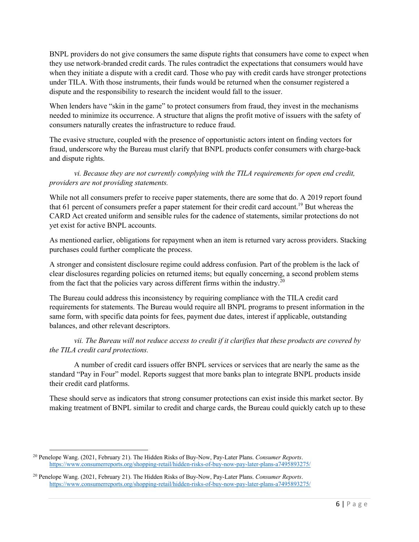BNPL providers do not give consumers the same dispute rights that consumers have come to expect when they use network-branded credit cards. The rules contradict the expectations that consumers would have when they initiate a dispute with a credit card. Those who pay with credit cards have stronger protections under TILA. With those instruments, their funds would be returned when the consumer registered a dispute and the responsibility to research the incident would fall to the issuer.

When lenders have "skin in the game" to protect consumers from fraud, they invest in the mechanisms needed to minimize its occurrence. A structure that aligns the profit motive of issuers with the safety of consumers naturally creates the infrastructure to reduce fraud.

The evasive structure, coupled with the presence of opportunistic actors intent on finding vectors for fraud, underscore why the Bureau must clarify that BNPL products confer consumers with charge-back and dispute rights.

*vi. Because they are not currently complying with the TILA requirements for open end credit, providers are not providing statements.*

While not all consumers prefer to receive paper statements, there are some that do. A 2019 report found that 61 percent of consumers prefer a paper statement for their credit card account.<sup>19</sup> But whereas the CARD Act created uniform and sensible rules for the cadence of statements, similar protections do not yet exist for active BNPL accounts.

As mentioned earlier, obligations for repayment when an item is returned vary across providers. Stacking purchases could further complicate the process.

A stronger and consistent disclosure regime could address confusion. Part of the problem is the lack of clear disclosures regarding policies on returned items; but equally concerning, a second problem stems from the fact that the policies vary across different firms within the industry.<sup>20</sup>

The Bureau could address this inconsistency by requiring compliance with the TILA credit card requirements for statements. The Bureau would require all BNPL programs to present information in the same form, with specific data points for fees, payment due dates, interest if applicable, outstanding balances, and other relevant descriptors.

*vii. The Bureau will not reduce access to credit if it clarifies that these products are covered by the TILA credit card protections.*

A number of credit card issuers offer BNPL services or services that are nearly the same as the standard "Pay in Four" model. Reports suggest that more banks plan to integrate BNPL products inside their credit card platforms.

These should serve as indicators that strong consumer protections can exist inside this market sector. By making treatment of BNPL similar to credit and charge cards, the Bureau could quickly catch up to these

<sup>20</sup> Penelope Wang. (2021, February 21). The Hidden Risks of Buy-Now, Pay-Later Plans. *Consumer Reports*. https://www.consumerreports.org/shopping-retail/hidden-risks-of-buy-now-pay-later-plans-a7495893275/

<sup>20</sup> Penelope Wang. (2021, February 21). The Hidden Risks of Buy-Now, Pay-Later Plans. *Consumer Reports*. https://www.consumerreports.org/shopping-retail/hidden-risks-of-buy-now-pay-later-plans-a7495893275/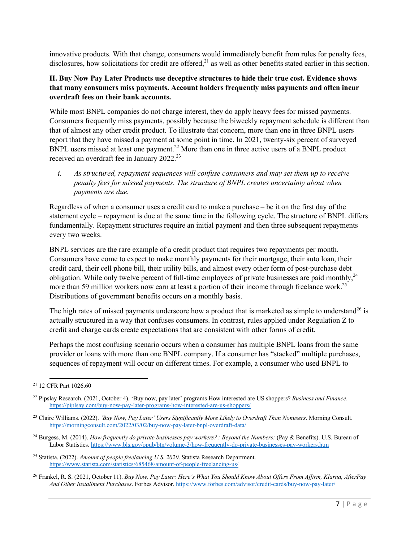innovative products. With that change, consumers would immediately benefit from rules for penalty fees, disclosures, how solicitations for credit are offered, $^{21}$  as well as other benefits stated earlier in this section.

### **II. Buy Now Pay Later Products use deceptive structures to hide their true cost. Evidence shows that many consumers miss payments. Account holders frequently miss payments and often incur overdraft fees on their bank accounts.**

While most BNPL companies do not charge interest, they do apply heavy fees for missed payments. Consumers frequently miss payments, possibly because the biweekly repayment schedule is different than that of almost any other credit product. To illustrate that concern, more than one in three BNPL users report that they have missed a payment at some point in time. In 2021, twenty-six percent of surveyed BNPL users missed at least one payment.<sup>22</sup> More than one in three active users of a BNPL product received an overdraft fee in January 2022.<sup>23</sup>

*i. As structured, repayment sequences will confuse consumers and may set them up to receive penalty fees for missed payments. The structure of BNPL creates uncertainty about when payments are due.*

Regardless of when a consumer uses a credit card to make a purchase – be it on the first day of the statement cycle – repayment is due at the same time in the following cycle. The structure of BNPL differs fundamentally. Repayment structures require an initial payment and then three subsequent repayments every two weeks.

BNPL services are the rare example of a credit product that requires two repayments per month. Consumers have come to expect to make monthly payments for their mortgage, their auto loan, their credit card, their cell phone bill, their utility bills, and almost every other form of post-purchase debt obligation. While only twelve percent of full-time employees of private businesses are paid monthly,<sup>24</sup> more than 59 million workers now earn at least a portion of their income through freelance work.<sup>25</sup> Distributions of government benefits occurs on a monthly basis.

The high rates of missed payments underscore how a product that is marketed as simple to understand<sup>26</sup> is actually structured in a way that confuses consumers. In contrast, rules applied under Regulation Z to credit and charge cards create expectations that are consistent with other forms of credit.

Perhaps the most confusing scenario occurs when a consumer has multiple BNPL loans from the same provider or loans with more than one BNPL company. If a consumer has "stacked" multiple purchases, sequences of repayment will occur on different times. For example, a consumer who used BNPL to

<sup>21</sup> 12 CFR Part 1026.60

<sup>22</sup> Pipslay Research. (2021, October 4). 'Buy now, pay later' programs How interested are US shoppers? *Business and Finance*. https://piplsay.com/buy-now-pay-later-programs-how-interested-are-us-shoppers/

<sup>23</sup> Claire Williams. (2022). *'Buy Now, Pay Later' Users Significantly More Likely to Overdraft Than Nonusers*. Morning Consult. https://morningconsult.com/2022/03/02/buy-now-pay-later-bnpl-overdraft-data/

<sup>24</sup> Burgess, M. (2014). *How frequently do private businesses pay workers? : Beyond the Numbers:* (Pay & Benefits). U.S. Bureau of Labor Statistics. https://www.bls.gov/opub/btn/volume-3/how-frequently-do-private-businesses-pay-workers.htm

<sup>25</sup> Statista. (2022). *Amount of people freelancing U.S. 2020*. Statista Research Department. https://www.statista.com/statistics/685468/amount-of-people-freelancing-us/

<sup>26</sup> Frankel, R. S. (2021, October 11). *Buy Now, Pay Later: Here's What You Should Know About Offers From Affirm, Klarna, AfterPay And Other Installment Purchases*. Forbes Advisor. https://www.forbes.com/advisor/credit-cards/buy-now-pay-later/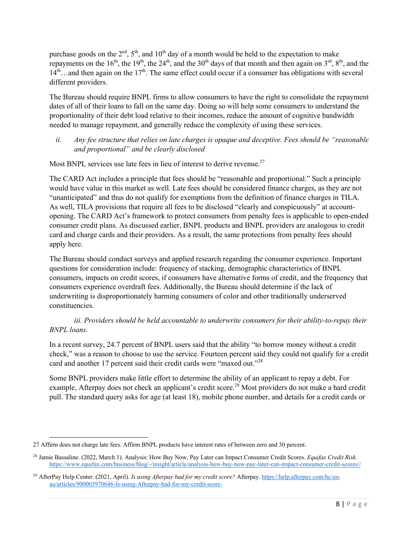purchase goods on the  $2<sup>nd</sup>$ ,  $5<sup>th</sup>$ , and  $10<sup>th</sup>$  day of a month would be held to the expectation to make repayments on the  $16<sup>th</sup>$ , the  $19<sup>th</sup>$ , the  $24<sup>th</sup>$ , and the 30<sup>th</sup> days of that month and then again on  $3<sup>rd</sup>$ ,  $8<sup>th</sup>$ , and the  $14<sup>th</sup>$ …and then again on the  $17<sup>th</sup>$ . The same effect could occur if a consumer has obligations with several different providers.

The Bureau should require BNPL firms to allow consumers to have the right to consolidate the repayment dates of all of their loans to fall on the same day. Doing so will help some consumers to understand the proportionality of their debt load relative to their incomes, reduce the amount of cognitive bandwidth needed to manage repayment, and generally reduce the complexity of using these services.

*ii. Any fee structure that relies on late charges is opaque and deceptive. Fees should be "reasonable and proportional" and be clearly disclosed*

Most BNPL services use late fees in lieu of interest to derive revenue.<sup>27</sup>

The CARD Act includes a principle that fees should be "reasonable and proportional." Such a principle would have value in this market as well. Late fees should be considered finance charges, as they are not "unanticipated" and thus do not qualify for exemptions from the definition of finance charges in TILA. As well, TILA provisions that require all fees to be disclosed "clearly and conspicuously" at accountopening. The CARD Act's framework to protect consumers from penalty fees is applicable to open-ended consumer credit plans. As discussed earlier, BNPL products and BNPL providers are analogous to credit card and charge cards and their providers. As a result, the same protections from penalty fees should apply here.

The Bureau should conduct surveys and applied research regarding the consumer experience. Important questions for consideration include: frequency of stacking, demographic characteristics of BNPL consumers, impacts on credit scores, if consumers have alternative forms of credit, and the frequency that consumers experience overdraft fees. Additionally, the Bureau should determine if the lack of underwriting is disproportionately harming consumers of color and other traditionally underserved constituencies.

# *iii. Providers should be held accountable to underwrite consumers for their ability-to-repay their BNPL loans.*

In a recent survey, 24.7 percent of BNPL users said that the ability "to borrow money without a credit check," was a reason to choose to use the service. Fourteen percent said they could not qualify for a credit card and another 17 percent said their credit cards were "maxed out."28

Some BNPL providers make little effort to determine the ability of an applicant to repay a debt. For example, Afterpay does not check an applicant's credit score.<sup>29</sup> Most providers do not make a hard credit pull. The standard query asks for age (at least 18), mobile phone number, and details for a credit cards or

<sup>27</sup> Affirm does not charge late fees. Affirm BNPL products have interest rates of between zero and 30 percent.

<sup>28</sup> Jamie Bassaline. (2022, March 1). Analysis: How Buy Now, Pay Later can Impact Consumer Credit Scores. *Equifax Credit Risk*. https://www.equifax.com/business/blog/-/insight/article/analysis-how-buy-now-pay-later-can-impact-consumer-credit-scores//

<sup>29</sup> AfterPay Help Center. (2021, April). *Is using Afterpay bad for my credit score?* Afterpay. https://help.afterpay.com/hc/enau/articles/900003970646-Is-using-Afterpay-bad-for-my-credit-score-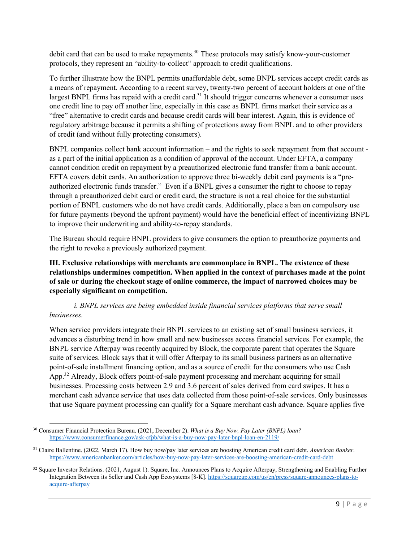debit card that can be used to make repayments.<sup>30</sup> These protocols may satisfy know-your-customer protocols, they represent an "ability-to-collect" approach to credit qualifications.

To further illustrate how the BNPL permits unaffordable debt, some BNPL services accept credit cards as a means of repayment. According to a recent survey, twenty-two percent of account holders at one of the largest BNPL firms has repaid with a credit card.<sup>31</sup> It should trigger concerns whenever a consumer uses one credit line to pay off another line, especially in this case as BNPL firms market their service as a "free" alternative to credit cards and because credit cards will bear interest. Again, this is evidence of regulatory arbitrage because it permits a shifting of protections away from BNPL and to other providers of credit (and without fully protecting consumers).

BNPL companies collect bank account information – and the rights to seek repayment from that account as a part of the initial application as a condition of approval of the account. Under EFTA, a company cannot condition credit on repayment by a preauthorized electronic fund transfer from a bank account. EFTA covers debit cards. An authorization to approve three bi-weekly debit card payments is a "preauthorized electronic funds transfer." Even if a BNPL gives a consumer the right to choose to repay through a preauthorized debit card or credit card, the structure is not a real choice for the substantial portion of BNPL customers who do not have credit cards. Additionally, place a ban on compulsory use for future payments (beyond the upfront payment) would have the beneficial effect of incentivizing BNPL to improve their underwriting and ability-to-repay standards.

The Bureau should require BNPL providers to give consumers the option to preauthorize payments and the right to revoke a previously authorized payment.

**III. Exclusive relationships with merchants are commonplace in BNPL. The existence of these relationships undermines competition. When applied in the context of purchases made at the point of sale or during the checkout stage of online commerce, the impact of narrowed choices may be especially significant on competition.**

# *i. BNPL services are being embedded inside financial services platforms that serve small businesses.*

When service providers integrate their BNPL services to an existing set of small business services, it advances a disturbing trend in how small and new businesses access financial services. For example, the BNPL service Afterpay was recently acquired by Block, the corporate parent that operates the Square suite of services. Block says that it will offer Afterpay to its small business partners as an alternative point-of-sale installment financing option, and as a source of credit for the consumers who use Cash App.<sup>32</sup> Already, Block offers point-of-sale payment processing and merchant acquiring for small businesses. Processing costs between 2.9 and 3.6 percent of sales derived from card swipes. It has a merchant cash advance service that uses data collected from those point-of-sale services. Only businesses that use Square payment processing can qualify for a Square merchant cash advance. Square applies five

<sup>30</sup> Consumer Financial Protection Bureau. (2021, December 2). *What is a Buy Now, Pay Later (BNPL) loan?* https://www.consumerfinance.gov/ask-cfpb/what-is-a-buy-now-pay-later-bnpl-loan-en-2119/

<sup>31</sup> Claire Ballentine. (2022, March 17). How buy now/pay later services are boosting American credit card debt. *American Banker*. https://www.americanbanker.com/articles/how-buy-now-pay-later-services-are-boosting-american-credit-card-debt

<sup>&</sup>lt;sup>32</sup> Square Investor Relations. (2021, August 1). Square, Inc. Announces Plans to Acquire Afterpay, Strengthening and Enabling Further Integration Between its Seller and Cash App Ecosystems [8-K]. https://squareup.com/us/en/press/square-announces-plans-toacquire-afterpay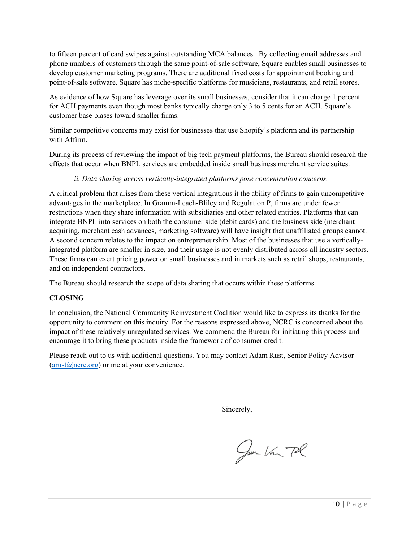to fifteen percent of card swipes against outstanding MCA balances. By collecting email addresses and phone numbers of customers through the same point-of-sale software, Square enables small businesses to develop customer marketing programs. There are additional fixed costs for appointment booking and point-of-sale software. Square has niche-specific platforms for musicians, restaurants, and retail stores.

As evidence of how Square has leverage over its small businesses, consider that it can charge 1 percent for ACH payments even though most banks typically charge only 3 to 5 cents for an ACH. Square's customer base biases toward smaller firms.

Similar competitive concerns may exist for businesses that use Shopify's platform and its partnership with Affirm.

During its process of reviewing the impact of big tech payment platforms, the Bureau should research the effects that occur when BNPL services are embedded inside small business merchant service suites.

*ii. Data sharing across vertically-integrated platforms pose concentration concerns.*

A critical problem that arises from these vertical integrations it the ability of firms to gain uncompetitive advantages in the marketplace. In Gramm-Leach-Bliley and Regulation P, firms are under fewer restrictions when they share information with subsidiaries and other related entities. Platforms that can integrate BNPL into services on both the consumer side (debit cards) and the business side (merchant acquiring, merchant cash advances, marketing software) will have insight that unaffiliated groups cannot. A second concern relates to the impact on entrepreneurship. Most of the businesses that use a verticallyintegrated platform are smaller in size, and their usage is not evenly distributed across all industry sectors. These firms can exert pricing power on small businesses and in markets such as retail shops, restaurants, and on independent contractors.

The Bureau should research the scope of data sharing that occurs within these platforms.

#### **CLOSING**

In conclusion, the National Community Reinvestment Coalition would like to express its thanks for the opportunity to comment on this inquiry. For the reasons expressed above, NCRC is concerned about the impact of these relatively unregulated services. We commend the Bureau for initiating this process and encourage it to bring these products inside the framework of consumer credit.

Please reach out to us with additional questions. You may contact Adam Rust, Senior Policy Advisor  $(\text{arust}(\hat{a})$ ncrc.org) or me at your convenience.

Sincerely,

Jun Van Pl